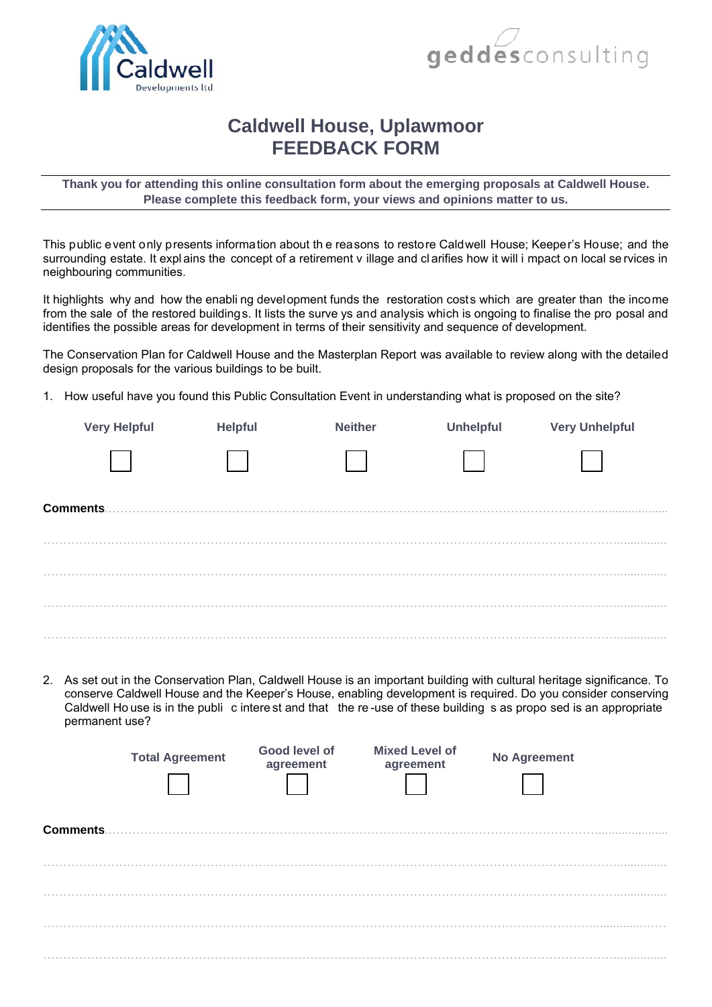



## **Caldwell House, Uplawmoor FEEDBACK FORM**

**Thank you for attending this online consultation form about the emerging proposals at Caldwell House. Please complete this feedback form, your views and opinions matter to us.** 

This public event only presents information about th e reasons to restore Caldwell House; Keeper's House; and the surrounding estate. It expl ains the concept of a retirement v illage and cl arifies how it will i mpact on local se rvices in neighbouring communities.

It highlights why and how the enabli ng development funds the restoration costs which are greater than the income from the sale of the restored buildings. It lists the surve ys and analysis which is ongoing to finalise the pro posal and identifies the possible areas for development in terms of their sensitivity and sequence of development.

The Conservation Plan for Caldwell House and the Masterplan Report was available to review along with the detailed design proposals for the various buildings to be built.

**Very Helpful Helpful Neither Unhelpful Very Unhelpful** 

1. How useful have you found this Public Consultation Event in understanding what is proposed on the site?

| <b>Comments.</b> |                                                                                                                                                                                                                                                                                                                                                                               |                            |                                    |                     |  |
|------------------|-------------------------------------------------------------------------------------------------------------------------------------------------------------------------------------------------------------------------------------------------------------------------------------------------------------------------------------------------------------------------------|----------------------------|------------------------------------|---------------------|--|
|                  |                                                                                                                                                                                                                                                                                                                                                                               |                            |                                    |                     |  |
|                  |                                                                                                                                                                                                                                                                                                                                                                               |                            |                                    |                     |  |
|                  | 2. As set out in the Conservation Plan, Caldwell House is an important building with cultural heritage significance. To<br>conserve Caldwell House and the Keeper's House, enabling development is required. Do you consider conserving<br>Caldwell House is in the publi c interest and that the re-use of these building s as propo sed is an appropriate<br>permanent use? |                            |                                    |                     |  |
|                  | <b>Total Agreement</b>                                                                                                                                                                                                                                                                                                                                                        | Good level of<br>agreement | <b>Mixed Level of</b><br>agreement | <b>No Agreement</b> |  |
| <b>Comments.</b> |                                                                                                                                                                                                                                                                                                                                                                               |                            |                                    |                     |  |
|                  |                                                                                                                                                                                                                                                                                                                                                                               |                            |                                    |                     |  |
|                  |                                                                                                                                                                                                                                                                                                                                                                               |                            |                                    |                     |  |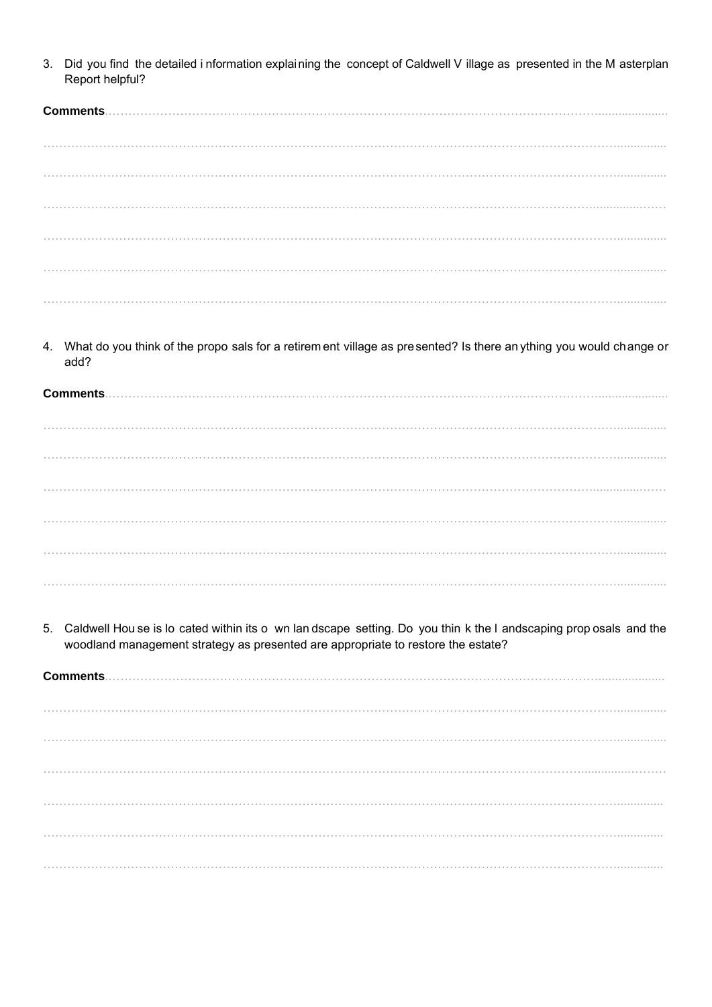Did you find the detailed i nformation explaining the concept of Caldwell V illage as presented in the M asterplan  $3<sub>1</sub>$ Report helpful?

| Comments. |  |
|-----------|--|
|           |  |
|           |  |
|           |  |
|           |  |
|           |  |
|           |  |

What do you think of the propo sals for a retirem ent village as presented? Is there an ything you would change or 4. add?

**Comments................................** 

Caldwell Hou se is lo cated within its o wn lan dscape setting. Do you thin k the I andscaping prop osals and the  $5<sub>1</sub>$ woodland management strategy as presented are appropriate to restore the estate?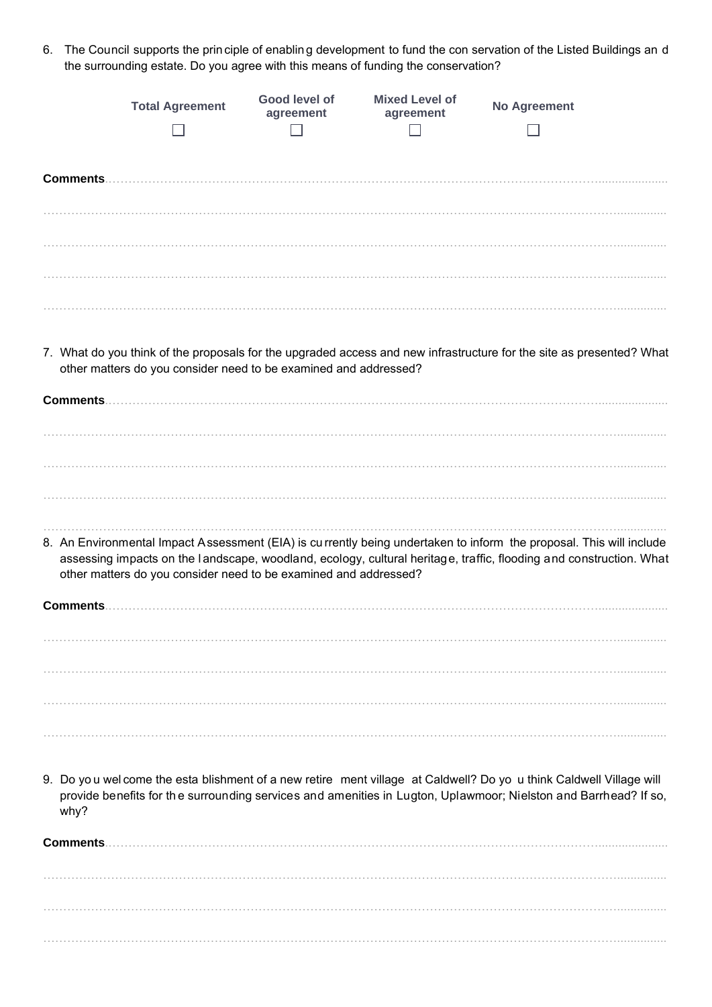6. The Council supports the prin ciple of enablin g development to fund the con servation of the Listed Buildings an d the surrounding estate. Do you agree with this means of funding the conservation?

|                  | <b>Total Agreement</b>                                           | Good level of<br>agreement | <b>Mixed Level of</b><br>agreement | <b>No Agreement</b>                                                                                                                                                                                                                       |  |
|------------------|------------------------------------------------------------------|----------------------------|------------------------------------|-------------------------------------------------------------------------------------------------------------------------------------------------------------------------------------------------------------------------------------------|--|
| Comments         |                                                                  |                            |                                    |                                                                                                                                                                                                                                           |  |
|                  |                                                                  |                            |                                    |                                                                                                                                                                                                                                           |  |
|                  | other matters do you consider need to be examined and addressed? |                            |                                    | 7. What do you think of the proposals for the upgraded access and new infrastructure for the site as presented? What                                                                                                                      |  |
|                  |                                                                  |                            |                                    |                                                                                                                                                                                                                                           |  |
|                  |                                                                  |                            |                                    | 8. An Environmental Impact Assessment (EIA) is currently being undertaken to inform the proposal. This will include<br>assessing impacts on the landscape, woodland, ecology, cultural heritage, traffic, flooding and construction. What |  |
| Comments         | other matters do you consider need to be examined and addressed? |                            |                                    |                                                                                                                                                                                                                                           |  |
|                  |                                                                  |                            |                                    |                                                                                                                                                                                                                                           |  |
| why?             |                                                                  |                            |                                    | 9. Do you wel come the esta blishment of a new retire ment village at Caldwell? Do yo u think Caldwell Village will<br>provide benefits for the surrounding services and amenities in Lugton, Uplawmoor; Nielston and Barrhead? If so,    |  |
| <b>Comments.</b> |                                                                  |                            |                                    |                                                                                                                                                                                                                                           |  |
|                  |                                                                  |                            |                                    |                                                                                                                                                                                                                                           |  |

………………………………………………………………………………………………………………………………...............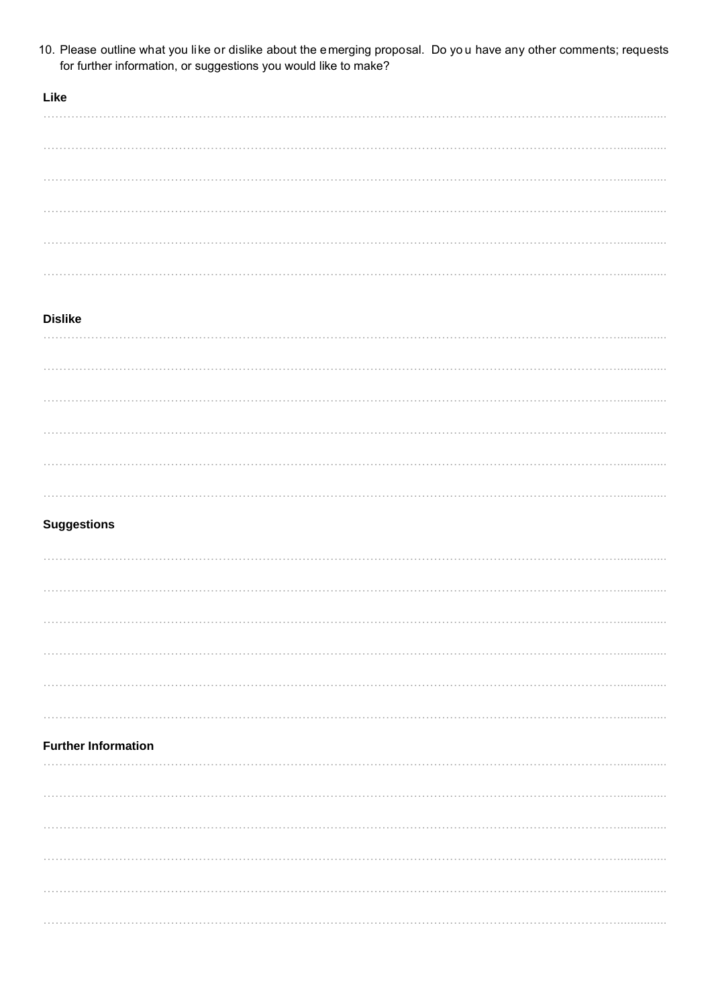10. Please outline what you like or dislike about the emerging proposal. Do yo u have any other comments; requests for further information, or suggestions you would like to make?

| Like |  |  |  |  |  |
|------|--|--|--|--|--|
| .    |  |  |  |  |  |
|      |  |  |  |  |  |
|      |  |  |  |  |  |
|      |  |  |  |  |  |
| .    |  |  |  |  |  |
|      |  |  |  |  |  |

## **Dislike**

| . |  |  |  |
|---|--|--|--|
|   |  |  |  |
| . |  |  |  |
| . |  |  |  |
|   |  |  |  |

## **Suggestions**

| <b>Further Information</b> |  |  |
|----------------------------|--|--|
|                            |  |  |
|                            |  |  |
|                            |  |  |
|                            |  |  |
|                            |  |  |
|                            |  |  |